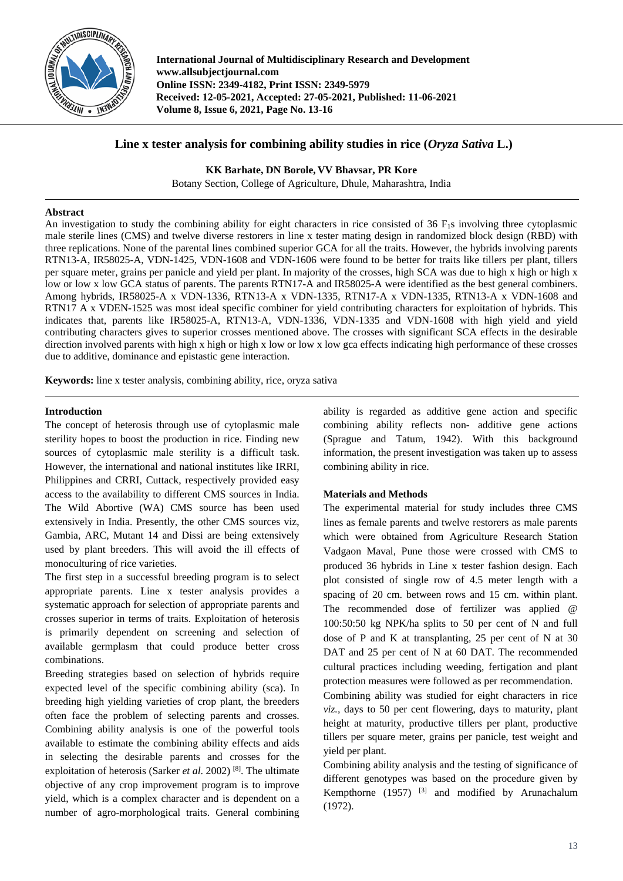

**International Journal of Multidisciplinary Research and Development www.allsubjectjournal.com Online ISSN: 2349-4182, Print ISSN: 2349-5979 Received: 12-05-2021, Accepted: 27-05-2021, Published: 11-06-2021 Volume 8, Issue 6, 2021, Page No. 13-16**

# **Line x tester analysis for combining ability studies in rice (***Oryza Sativa* **L.)**

**KK Barhate, DN Borole, VV Bhavsar, PR Kore**

Botany Section, College of Agriculture, Dhule, Maharashtra, India

## **Abstract**

An investigation to study the combining ability for eight characters in rice consisted of  $36$  F<sub>1</sub>s involving three cytoplasmic male sterile lines (CMS) and twelve diverse restorers in line x tester mating design in randomized block design (RBD) with three replications. None of the parental lines combined superior GCA for all the traits. However, the hybrids involving parents RTN13-A, IR58025-A, VDN-1425, VDN-1608 and VDN-1606 were found to be better for traits like tillers per plant, tillers per square meter, grains per panicle and yield per plant. In majority of the crosses, high SCA was due to high x high or high x low or low x low GCA status of parents. The parents RTN17-A and IR58025-A were identified as the best general combiners. Among hybrids, IR58025-A x VDN-1336, RTN13-A x VDN-1335, RTN17-A x VDN-1335, RTN13-A x VDN-1608 and RTN17 A x VDEN-1525 was most ideal specific combiner for yield contributing characters for exploitation of hybrids. This indicates that, parents like IR58025-A, RTN13-A, VDN-1336, VDN-1335 and VDN-1608 with high yield and yield contributing characters gives to superior crosses mentioned above. The crosses with significant SCA effects in the desirable direction involved parents with high x high or high x low or low x low gca effects indicating high performance of these crosses due to additive, dominance and epistastic gene interaction.

**Keywords:** line x tester analysis, combining ability, rice, oryza sativa

# **Introduction**

The concept of heterosis through use of cytoplasmic male sterility hopes to boost the production in rice. Finding new sources of cytoplasmic male sterility is a difficult task. However, the international and national institutes like IRRI, Philippines and CRRI, Cuttack, respectively provided easy access to the availability to different CMS sources in India. The Wild Abortive (WA) CMS source has been used extensively in India. Presently, the other CMS sources viz, Gambia, ARC, Mutant 14 and Dissi are being extensively used by plant breeders. This will avoid the ill effects of monoculturing of rice varieties.

The first step in a successful breeding program is to select appropriate parents. Line x tester analysis provides a systematic approach for selection of appropriate parents and crosses superior in terms of traits. Exploitation of heterosis is primarily dependent on screening and selection of available germplasm that could produce better cross combinations.

Breeding strategies based on selection of hybrids require expected level of the specific combining ability (sca). In breeding high yielding varieties of crop plant, the breeders often face the problem of selecting parents and crosses. Combining ability analysis is one of the powerful tools available to estimate the combining ability effects and aids in selecting the desirable parents and crosses for the exploitation of heterosis (Sarker *et al*. 2002) [8] . The ultimate objective of any crop improvement program is to improve yield, which is a complex character and is dependent on a number of agro-morphological traits. General combining

ability is regarded as additive gene action and specific combining ability reflects non- additive gene actions (Sprague and Tatum, 1942). With this background information, the present investigation was taken up to assess combining ability in rice.

# **Materials and Methods**

The experimental material for study includes three CMS lines as female parents and twelve restorers as male parents which were obtained from Agriculture Research Station Vadgaon Maval, Pune those were crossed with CMS to produced 36 hybrids in Line x tester fashion design. Each plot consisted of single row of 4.5 meter length with a spacing of 20 cm. between rows and 15 cm. within plant. The recommended dose of fertilizer was applied @ 100:50:50 kg NPK/ha splits to 50 per cent of N and full dose of P and K at transplanting, 25 per cent of N at 30 DAT and 25 per cent of N at 60 DAT. The recommended cultural practices including weeding, fertigation and plant protection measures were followed as per recommendation.

Combining ability was studied for eight characters in rice *viz.,* days to 50 per cent flowering, days to maturity, plant height at maturity, productive tillers per plant, productive tillers per square meter, grains per panicle, test weight and yield per plant.

Combining ability analysis and the testing of significance of different genotypes was based on the procedure given by Kempthorne  $(1957)$  <sup>[3]</sup> and modified by Arunachalum (1972).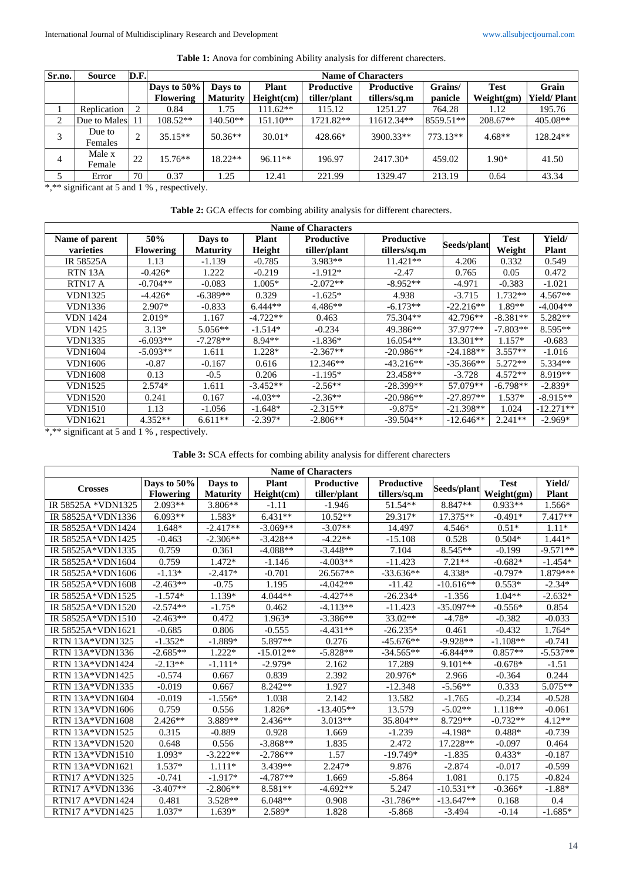| Sr.no. | <b>Source</b>     | D.F. | <b>Name of Characters</b> |                 |              |                   |                   |           |             |                    |  |  |
|--------|-------------------|------|---------------------------|-----------------|--------------|-------------------|-------------------|-----------|-------------|--------------------|--|--|
|        |                   |      | Days to 50%               | Days to         | <b>Plant</b> | <b>Productive</b> | <b>Productive</b> | Grains/   | <b>Test</b> | Grain              |  |  |
|        |                   |      | <b>Flowering</b>          | <b>Maturity</b> | Height(cm)   | tiller/plant      | tillers/sq.m      | panicle   | Weight(gm)  | <b>Yield/Plant</b> |  |  |
|        | Replication       | 2    | 0.84                      | 1.75            | $111.62**$   | 115.12            | 1251.27           | 764.28    | 1.12        | 195.76             |  |  |
| 2      | Due to Males      |      | $108.52**$                | $140.50**$      | 151.10**     | 1721.82**         | 11612.34**        | 8559.51** | $208.67**$  | $405.08**$         |  |  |
| 3      | Due to<br>Females | ↑    | $35.15**$                 | $50.36**$       | $30.01*$     | 428.66*           | 3900.33**         | 773.13**  | $4.68**$    | $128.24**$         |  |  |
| 4      | Male x<br>Female  | 22   | $15.76**$                 | $18.22**$       | $96.11**$    | 196.97            | 2417.30*          | 459.02    | $1.90*$     | 41.50              |  |  |
|        | Error             | 70   | 0.37                      | 1.25            | 12.41        | 221.99            | 1329.47           | 213.19    | 0.64        | 43.34              |  |  |

\*,\*\* significant at 5 and 1 %, respectively.

| Table 2: GCA effects for combing ability analysis for different charecters. |  |  |  |  |
|-----------------------------------------------------------------------------|--|--|--|--|
|-----------------------------------------------------------------------------|--|--|--|--|

| <b>Name of Characters</b> |                  |                 |              |              |                   |             |             |              |  |  |  |
|---------------------------|------------------|-----------------|--------------|--------------|-------------------|-------------|-------------|--------------|--|--|--|
| Name of parent            | 50%              | Days to         | <b>Plant</b> | Productive   | <b>Productive</b> |             | <b>Test</b> | Yield/       |  |  |  |
| varieties                 | <b>Flowering</b> | <b>Maturity</b> | Height       | tiller/plant | tillers/sq.m      | Seeds/plant | Weight      | <b>Plant</b> |  |  |  |
| <b>IR 58525A</b>          | 1.13             | $-1.139$        | $-0.785$     | $3.983**$    | $11.421**$        | 4.206       | 0.332       | 0.549        |  |  |  |
| RTN 13A                   | $-0.426*$        | 1.222           | $-0.219$     | $-1.912*$    | $-2.47$           | 0.765       | 0.05        | 0.472        |  |  |  |
| RTN17A                    | $-0.704**$       | $-0.083$        | $1.005*$     | $-2.072**$   | $-8.952**$        | -4.971      | $-0.383$    | $-1.021$     |  |  |  |
| <b>VDN1325</b>            | $-4.426*$        | $-6.389**$      | 0.329        | $-1.625*$    | 4.938             | $-3.715$    | $1.732**$   | $4.567**$    |  |  |  |
| <b>VDN1336</b>            | $2.907*$         | $-0.833$        | $6.444**$    | 4.486**      | $-6.173**$        | $-22.216**$ | $1.89**$    | $-4.004**$   |  |  |  |
| <b>VDN 1424</b>           | $2.019*$         | 1.167           | $-4.722**$   | 0.463        | 75.304**          | 42.796**    | $-8.381**$  | 5.282**      |  |  |  |
| <b>VDN</b> 1425           | $3.13*$          | $5.056**$       | $-1.514*$    | $-0.234$     | 49.386**          | 37.977**    | $-7.803**$  | 8.595**      |  |  |  |
| <b>VDN1335</b>            | $-6.093**$       | $-7.278**$      | $8.94**$     | $-1.836*$    | 16.054**          | $13.301**$  | $1.157*$    | $-0.683$     |  |  |  |
| <b>VDN1604</b>            | $-5.093**$       | 1.611           | 1.228*       | $-2.367**$   | $-20.986**$       | $-24.188**$ | $3.557**$   | $-1.016$     |  |  |  |
| <b>VDN1606</b>            | $-0.87$          | $-0.167$        | 0.616        | $12.346**$   | $-43.216**$       | $-35.366**$ | $5.272**$   | 5.334**      |  |  |  |
| <b>VDN1608</b>            | 0.13             | $-0.5$          | 0.206        | $-1.195*$    | 23.458**          | $-3.728$    | $4.572**$   | 8.919**      |  |  |  |
| <b>VDN1525</b>            | $2.574*$         | 1.611           | $-3.452**$   | $-2.56**$    | $-28.399**$       | 57.079**    | $-6.798**$  | $-2.839*$    |  |  |  |
| <b>VDN1520</b>            | 0.241            | 0.167           | $-4.03**$    | $-2.36**$    | $-20.986**$       | $-27.897**$ | $1.537*$    | $-8.915**$   |  |  |  |
| <b>VDN1510</b>            | 1.13             | $-1.056$        | $-1.648*$    | $-2.315**$   | $-9.875*$         | $-21.398**$ | 1.024       | $-12.271**$  |  |  |  |
| <b>VDN1621</b>            | $4.352**$        | $6.611**$       | $-2.397*$    | $-2.806**$   | $-39.504**$       | $-12.646**$ | $2.241**$   | $-2.969*$    |  |  |  |

\*,\*\* significant at 5 and 1 %, respectively.

**Table 3:** SCA effects for combing ability analysis for different charecters

| <b>Name of Characters</b> |                  |                         |             |                                        |              |             |             |            |  |  |
|---------------------------|------------------|-------------------------|-------------|----------------------------------------|--------------|-------------|-------------|------------|--|--|
| <b>Crosses</b>            | Days to 50%      | <b>Plant</b><br>Days to |             | <b>Productive</b><br><b>Productive</b> |              |             | <b>Test</b> | Yield/     |  |  |
|                           | <b>Flowering</b> | <b>Maturity</b>         | Height(cm)  | tiller/plant                           | tillers/sq.m | Seeds/plant | Weight(gm)  | Plant      |  |  |
| IR 58525A *VDN1325        | $2.093**$        | $3.806**$               | $-1.11$     | $-1.946$                               | 51.54**      | 8.847**     | $0.933**$   | 1.566*     |  |  |
| IR 58525A*VDN1336         | $6.093**$        | $1.583*$                | $6.431**$   | $10.52**$                              | 29.317*      | $17.375**$  | $-0.491*$   | $7.417**$  |  |  |
| IR 58525A*VDN1424         | $1.648*$         | $-2.417**$              | $-3.069**$  | $-3.07**$                              | 14.497       | $4.546*$    | $0.51*$     | $1.11*$    |  |  |
| IR 58525A*VDN1425         | $-0.463$         | $-2.306**$              | $-3.428**$  | $-4.22**$                              | $-15.108$    | 0.528       | $0.504*$    | $1.441*$   |  |  |
| IR 58525A*VDN1335         | 0.759            | 0.361                   | $-4.088**$  | $-3.448**$                             | 7.104        | $8.545**$   | $-0.199$    | $-9.571**$ |  |  |
| IR 58525A*VDN1604         | 0.759            | 1.472*                  | $-1.146$    | $-4.003**$                             | $-11.423$    | $7.21**$    | $-0.682*$   | $-1.454*$  |  |  |
| IR 58525A*VDN1606         | $-1.13*$         | $-2.417*$               | $-0.701$    | 26.567**                               | $-33.636**$  | 4.338*      | $-0.797*$   | 1.879***   |  |  |
| IR 58525A*VDN1608         | $-2.463**$       | $-0.75$                 | 1.195       | $-4.042**$                             | $-11.42$     | $-10.616**$ | $0.553*$    | $-2.34*$   |  |  |
| IR 58525A*VDN1525         | $-1.574*$        | $1.139*$                | $4.044**$   | $-4.427**$                             | $-26.234*$   | $-1.356$    | $1.04**$    | $-2.632*$  |  |  |
| IR 58525A*VDN1520         | $-2.574**$       | $-1.75*$                | 0.462       | $-4.113**$                             | $-11.423$    | $-35.097**$ | $-0.556*$   | 0.854      |  |  |
| IR 58525A*VDN1510         | $-2.463**$       | 0.472                   | 1.963*      | $-3.386**$                             | $33.02**$    | $-4.78*$    | $-0.382$    | $-0.033$   |  |  |
| IR 58525A*VDN1621         | $-0.685$         | 0.806                   | $-0.555$    | $-4.431**$                             | $-26.235*$   | 0.461       | $-0.432$    | 1.764*     |  |  |
| <b>RTN 13A*VDN1325</b>    | $-1.352*$        | $-1.889*$               | 5.897**     | 0.276                                  | $-45.676**$  | $-9.928**$  | $-1.108**$  | $-0.741$   |  |  |
| <b>RTN 13A*VDN1336</b>    | $-2.685**$       | $1.222*$                | $-15.012**$ | $-5.828**$                             | $-34.565**$  | $-6.844**$  | $0.857**$   | -5.537**   |  |  |
| <b>RTN 13A*VDN1424</b>    | $-2.13**$        | $-1.111*$               | $-2.979*$   | 2.162                                  | 17.289       | $9.101**$   | $-0.678*$   | $-1.51$    |  |  |
| <b>RTN 13A*VDN1425</b>    | $-0.574$         | 0.667                   | 0.839       | 2.392                                  | 20.976*      | 2.966       | $-0.364$    | 0.244      |  |  |
| <b>RTN 13A*VDN1335</b>    | $-0.019$         | 0.667                   | $8.242**$   | 1.927                                  | $-12.348$    | $-5.56**$   | 0.333       | $5.075**$  |  |  |
| <b>RTN 13A*VDN1604</b>    | $-0.019$         | $-1.556*$               | 1.038       | 2.142                                  | 13.582       | $-1.765$    | $-0.234$    | $-0.528$   |  |  |
| <b>RTN 13A*VDN1606</b>    | 0.759            | 0.556                   | 1.826*      | $-13.405**$                            | 13.579       | $-5.02**$   | $1.118**$   | $-0.061$   |  |  |
| RTN 13A*VDN1608           | $2.426**$        | 3.889**                 | $2.436**$   | 3.013**                                | 35.804**     | 8.729**     | $-0.732**$  | $4.12**$   |  |  |
| <b>RTN 13A*VDN1525</b>    | 0.315            | $-0.889$                | 0.928       | 1.669                                  | $-1.239$     | $-4.198*$   | $0.488*$    | $-0.739$   |  |  |
| RTN 13A*VDN1520           | 0.648            | 0.556                   | $-3.868**$  | 1.835                                  | 2.472        | 17.228**    | $-0.097$    | 0.464      |  |  |
| <b>RTN 13A*VDN1510</b>    | $1.093*$         | $-3.222**$              | $-2.786**$  | 1.57                                   | $-19.749*$   | $-1.835$    | $0.433*$    | $-0.187$   |  |  |
| <b>RTN 13A*VDN1621</b>    | $1.537*$         | $1.111*$                | $3.439**$   | $2.247*$                               | 9.876        | $-2.874$    | $-0.017$    | $-0.599$   |  |  |
| RTN17 A*VDN1325           | $-0.741$         | $-1.917*$               | $-4.787**$  | 1.669                                  | $-5.864$     | 1.081       | 0.175       | $-0.824$   |  |  |
| RTN17 A*VDN1336           | $-3.407**$       | $-2.806**$              | $8.581**$   | $-4.692**$                             | 5.247        | $-10.531**$ | $-0.366*$   | $-1.88*$   |  |  |
| $RTN17A*VDN1424$          | 0.481            | $3.528**$               | $6.048**$   | 0.908                                  | $-31.786**$  | $-13.647**$ | 0.168       | 0.4        |  |  |
| RTN17 A*VDN1425           | $1.037*$         | $1.639*$                | 2.589*      | 1.828                                  | $-5.868$     | $-3.494$    | $-0.14$     | $-1.685*$  |  |  |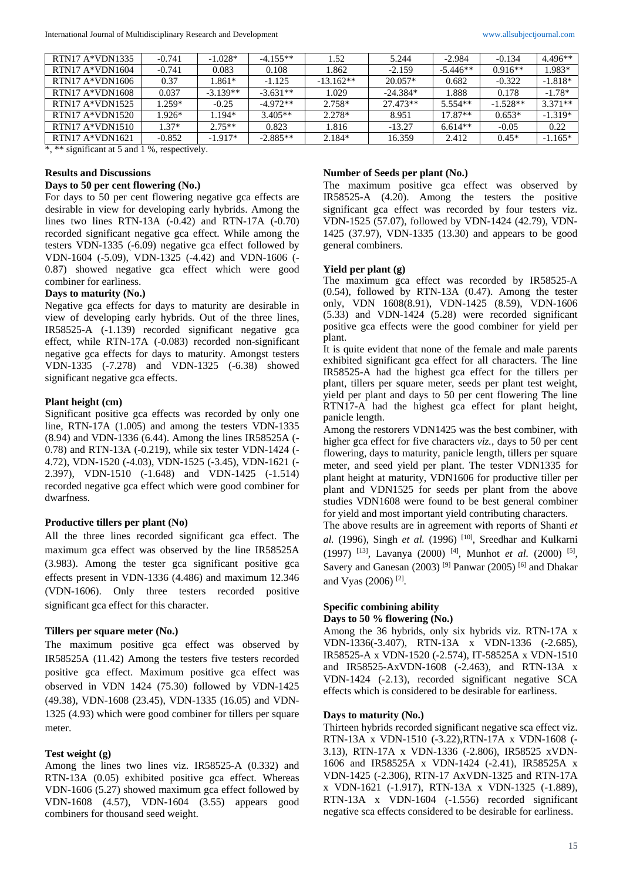| RTN17 A*VDN1335  | $-0.741$ | $-1.028*$  | $-4.155**$ | 1.52        | 5.244      | $-2.984$   | $-0.134$   | 4.496**   |
|------------------|----------|------------|------------|-------------|------------|------------|------------|-----------|
| $RTN17A*VDN1604$ | $-0.741$ | 0.083      | 0.108      | 1.862       | $-2.159$   | $-5.446**$ | $0.916**$  | 1.983*    |
| $RTN17A*VDN1606$ | 0.37     | 1.861*     | $-1.125$   | $-13.162**$ | $20.057*$  | 0.682      | $-0.322$   | $-1.818*$ |
| $RTN17A*VDN1608$ | 0.037    | $-3.139**$ | $-3.631**$ | 1.029       | $-24.384*$ | l.888      | 0.178      | $-1.78*$  |
| $RTN17A*VDN1525$ | 1.259*   | $-0.25$    | $-4.972**$ | 2.758*      | 27.473**   | $5.554**$  | $-1.528**$ | $3.371**$ |
| $RTN17A*VDN1520$ | 1.926*   | 1.194*     | $3.405**$  | $2.278*$    | 8.951      | $17.87**$  | $0.653*$   | $-1.319*$ |
| $RTN17A*VDN1510$ | $1.37*$  | $2.75**$   | 0.823      | 1.816       | $-13.27$   | $6.614**$  | $-0.05$    | 0.22      |
| $RTN17A*VDN1621$ | $-0.852$ | $-1.917*$  | $-2.885**$ | $2.184*$    | 16.359     | 2.412      | $0.45*$    | $-1.165*$ |

\*, \*\* significant at 5 and 1 %, respectively.

### **Results and Discussions**

### **Days to 50 per cent flowering (No.)**

For days to 50 per cent flowering negative gca effects are desirable in view for developing early hybrids. Among the lines two lines RTN-13A (-0.42) and RTN-17A (-0.70) recorded significant negative gca effect. While among the testers VDN-1335 (-6.09) negative gca effect followed by VDN-1604 (-5.09), VDN-1325 (-4.42) and VDN-1606 (- 0.87) showed negative gca effect which were good combiner for earliness.

### **Days to maturity (No.)**

Negative gca effects for days to maturity are desirable in view of developing early hybrids. Out of the three lines, IR58525-A (-1.139) recorded significant negative gca effect, while RTN-17A (-0.083) recorded non-significant negative gca effects for days to maturity. Amongst testers VDN-1335 (-7.278) and VDN-1325 (-6.38) showed significant negative gca effects.

#### **Plant height (cm)**

Significant positive gca effects was recorded by only one line, RTN-17A (1.005) and among the testers VDN-1335 (8.94) and VDN-1336 (6.44). Among the lines IR58525A (- 0.78) and RTN-13A (-0.219), while six tester VDN-1424 (- 4.72), VDN-1520 (-4.03), VDN-1525 (-3.45), VDN-1621 (- 2.397), VDN-1510 (-1.648) and VDN-1425 (-1.514) recorded negative gca effect which were good combiner for dwarfness.

### **Productive tillers per plant (No)**

All the three lines recorded significant gca effect. The maximum gca effect was observed by the line IR58525A (3.983). Among the tester gca significant positive gca effects present in VDN-1336 (4.486) and maximum 12.346 (VDN-1606). Only three testers recorded positive significant gca effect for this character.

### **Tillers per square meter (No.)**

The maximum positive gca effect was observed by IR58525A (11.42) Among the testers five testers recorded positive gca effect. Maximum positive gca effect was observed in VDN 1424 (75.30) followed by VDN-1425 (49.38), VDN-1608 (23.45), VDN-1335 (16.05) and VDN-1325 (4.93) which were good combiner for tillers per square meter.

### **Test weight (g)**

Among the lines two lines viz. IR58525-A (0.332) and RTN-13A (0.05) exhibited positive gca effect. Whereas VDN-1606 (5.27) showed maximum gca effect followed by VDN-1608 (4.57), VDN-1604 (3.55) appears good combiners for thousand seed weight.

### **Number of Seeds per plant (No.)**

The maximum positive gca effect was observed by IR58525-A (4.20). Among the testers the positive significant gca effect was recorded by four testers viz. VDN-1525 (57.07), followed by VDN-1424 (42.79), VDN-1425 (37.97), VDN-1335 (13.30) and appears to be good general combiners.

#### **Yield per plant (g)**

The maximum gca effect was recorded by IR58525-A (0.54), followed by RTN-13A (0.47). Among the tester only, VDN 1608(8.91), VDN-1425 (8.59), VDN-1606 (5.33) and VDN-1424 (5.28) were recorded significant positive gca effects were the good combiner for yield per plant.

It is quite evident that none of the female and male parents exhibited significant gca effect for all characters. The line IR58525-A had the highest gca effect for the tillers per plant, tillers per square meter, seeds per plant test weight, yield per plant and days to 50 per cent flowering The line RTN17-A had the highest gca effect for plant height, panicle length.

Among the restorers VDN1425 was the best combiner, with higher gca effect for five characters *viz.,* days to 50 per cent flowering, days to maturity, panicle length, tillers per square meter, and seed yield per plant. The tester VDN1335 for plant height at maturity, VDN1606 for productive tiller per plant and VDN1525 for seeds per plant from the above studies VDN1608 were found to be best general combiner for yield and most important yield contributing characters.

The above results are in agreement with reports of Shanti *et*  al. (1996), Singh et al. (1996)<sup>[10]</sup>, Sreedhar and Kulkarni (1997)<sup>[13]</sup>, Lavanya (2000)<sup>[4]</sup>, Munhot *et al.* (2000)<sup>[5]</sup>, Savery and Ganesan (2003)<sup>[9]</sup> Panwar (2005)<sup>[6]</sup> and Dhakar and Vyas (2006) [2] .

# **Specific combining ability**

## **Days to 50 % flowering (No.)**

Among the 36 hybrids, only six hybrids viz. RTN-17A x VDN-1336(-3.407), RTN-13A x VDN-1336 (-2.685), IR58525-A x VDN-1520 (-2.574), IT-58525A x VDN-1510 and IR58525-AxVDN-1608 (-2.463), and RTN-13A x VDN-1424 (-2.13), recorded significant negative SCA effects which is considered to be desirable for earliness.

### **Days to maturity (No.)**

Thirteen hybrids recorded significant negative sca effect viz. RTN-13A x VDN-1510 (-3.22),RTN-17A x VDN-1608 (- 3.13), RTN-17A x VDN-1336 (-2.806), IR58525 xVDN-1606 and IR58525A x VDN-1424 (-2.41), IR58525A x VDN-1425 (-2.306), RTN-17 AxVDN-1325 and RTN-17A x VDN-1621 (-1.917), RTN-13A x VDN-1325 (-1.889), RTN-13A x VDN-1604 (-1.556) recorded significant negative sca effects considered to be desirable for earliness.